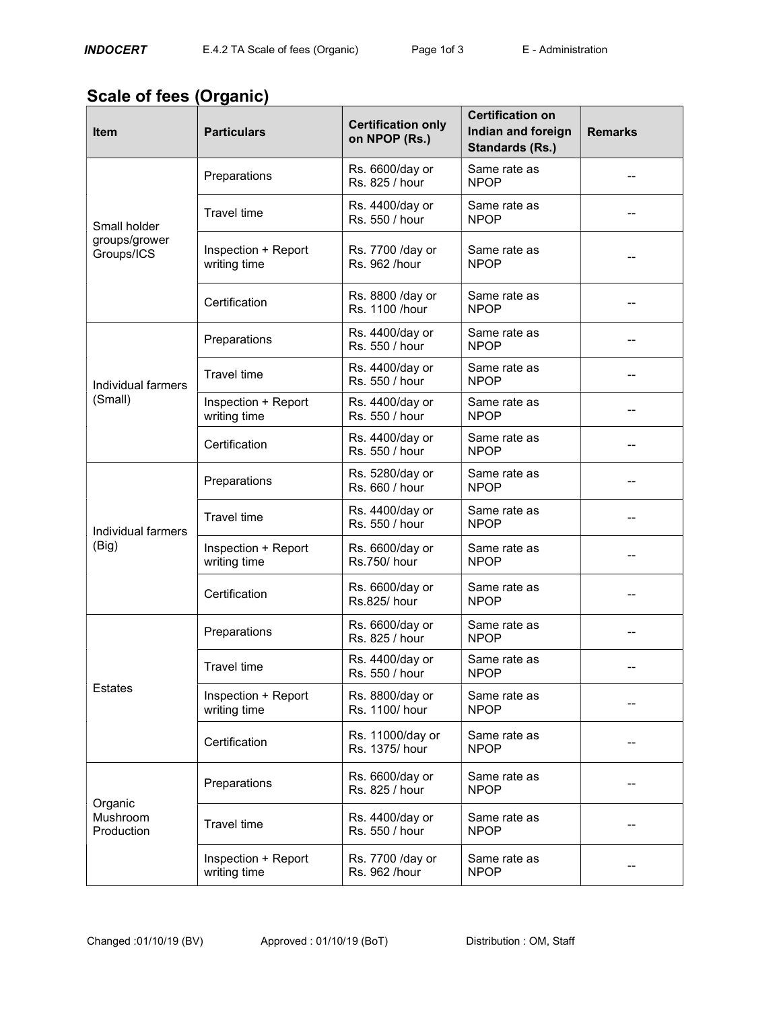## Scale of fees (Organic)

| <b>Item</b>                                 | <b>Particulars</b>                  | <b>Certification only</b><br>on NPOP (Rs.) | <b>Certification on</b><br>Indian and foreign<br><b>Standards (Rs.)</b> | <b>Remarks</b> |
|---------------------------------------------|-------------------------------------|--------------------------------------------|-------------------------------------------------------------------------|----------------|
| Small holder<br>groups/grower<br>Groups/ICS | Preparations                        | Rs. 6600/day or<br>Rs. 825 / hour          | Same rate as<br><b>NPOP</b>                                             |                |
|                                             | <b>Travel time</b>                  | Rs. 4400/day or<br>Rs. 550 / hour          | Same rate as<br><b>NPOP</b>                                             |                |
|                                             | Inspection + Report<br>writing time | Rs. 7700 / day or<br>Rs. 962 /hour         | Same rate as<br><b>NPOP</b>                                             |                |
|                                             | Certification                       | Rs. 8800 / day or<br>Rs. 1100 /hour        | Same rate as<br><b>NPOP</b>                                             |                |
| Individual farmers<br>(Small)               | Preparations                        | Rs. 4400/day or<br>Rs. 550 / hour          | Same rate as<br><b>NPOP</b>                                             |                |
|                                             | <b>Travel time</b>                  | Rs. 4400/day or<br>Rs. 550 / hour          | Same rate as<br><b>NPOP</b>                                             |                |
|                                             | Inspection + Report<br>writing time | Rs. 4400/day or<br>Rs. 550 / hour          | Same rate as<br><b>NPOP</b>                                             | --             |
|                                             | Certification                       | Rs. 4400/day or<br>Rs. 550 / hour          | Same rate as<br><b>NPOP</b>                                             |                |
| Individual farmers<br>(Big)                 | Preparations                        | Rs. 5280/day or<br>Rs. 660 / hour          | Same rate as<br><b>NPOP</b>                                             |                |
|                                             | <b>Travel time</b>                  | Rs. 4400/day or<br>Rs. 550 / hour          | Same rate as<br><b>NPOP</b>                                             |                |
|                                             | Inspection + Report<br>writing time | Rs. 6600/day or<br>Rs.750/hour             | Same rate as<br><b>NPOP</b>                                             |                |
|                                             | Certification                       | Rs. 6600/day or<br>Rs.825/ hour            | Same rate as<br><b>NPOP</b>                                             | --             |
| <b>Estates</b>                              | Preparations                        | Rs. 6600/day or<br>Rs. 825 / hour          | Same rate as<br><b>NPOP</b>                                             |                |
|                                             | <b>Travel time</b>                  | Rs. 4400/day or<br>Rs. 550 / hour          | Same rate as<br><b>NPOP</b>                                             |                |
|                                             | Inspection + Report<br>writing time | Rs. 8800/day or<br>Rs. 1100/hour           | Same rate as<br><b>NPOP</b>                                             |                |
|                                             | Certification                       | Rs. 11000/day or<br>Rs. 1375/hour          | Same rate as<br><b>NPOP</b>                                             |                |
| Organic<br><b>Mushroom</b><br>Production    | Preparations                        | Rs. 6600/day or<br>Rs. 825 / hour          | Same rate as<br><b>NPOP</b>                                             |                |
|                                             | <b>Travel time</b>                  | Rs. 4400/day or<br>Rs. 550 / hour          | Same rate as<br><b>NPOP</b>                                             |                |
|                                             | Inspection + Report<br>writing time | Rs. 7700 / day or<br>Rs. 962 /hour         | Same rate as<br><b>NPOP</b>                                             |                |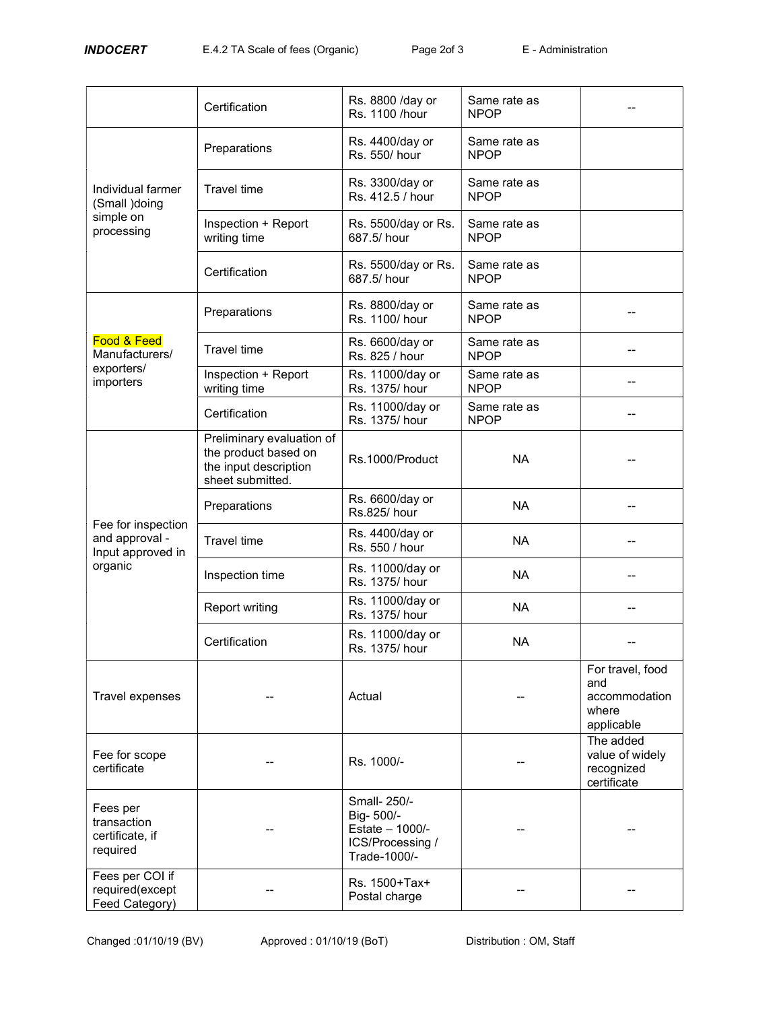|                                                                      | Certification                                                                                  | Rs. 8800 /day or<br>Rs. 1100 /hour                                               | Same rate as<br><b>NPOP</b> |                                                                 |
|----------------------------------------------------------------------|------------------------------------------------------------------------------------------------|----------------------------------------------------------------------------------|-----------------------------|-----------------------------------------------------------------|
| Individual farmer<br>(Small )doing<br>simple on<br>processing        | Preparations                                                                                   | Rs. 4400/day or<br>Rs. 550/hour                                                  | Same rate as<br><b>NPOP</b> |                                                                 |
|                                                                      | <b>Travel time</b>                                                                             | Rs. 3300/day or<br>Rs. 412.5 / hour                                              | Same rate as<br><b>NPOP</b> |                                                                 |
|                                                                      | Inspection + Report<br>writing time                                                            | Rs. 5500/day or Rs.<br>687.5/ hour                                               | Same rate as<br><b>NPOP</b> |                                                                 |
|                                                                      | Certification                                                                                  | Rs. 5500/day or Rs.<br>687.5/ hour                                               | Same rate as<br><b>NPOP</b> |                                                                 |
|                                                                      | Preparations                                                                                   | Rs. 8800/day or<br>Rs. 1100/hour                                                 | Same rate as<br><b>NPOP</b> |                                                                 |
| Food & Feed<br>Manufacturers/                                        | <b>Travel time</b>                                                                             | Rs. 6600/day or<br>Rs. 825 / hour                                                | Same rate as<br><b>NPOP</b> |                                                                 |
| exporters/<br>importers                                              | Inspection + Report<br>writing time                                                            | Rs. 11000/day or<br>Rs. 1375/hour                                                | Same rate as<br><b>NPOP</b> | --                                                              |
| Fee for inspection<br>and approval -<br>Input approved in<br>organic | Certification                                                                                  | Rs. 11000/day or<br>Rs. 1375/hour                                                | Same rate as<br><b>NPOP</b> |                                                                 |
|                                                                      | Preliminary evaluation of<br>the product based on<br>the input description<br>sheet submitted. | Rs.1000/Product                                                                  | <b>NA</b>                   |                                                                 |
|                                                                      | Preparations                                                                                   | Rs. 6600/day or<br>Rs.825/ hour                                                  | <b>NA</b>                   |                                                                 |
|                                                                      | <b>Travel time</b>                                                                             | Rs. 4400/day or<br>Rs. 550 / hour                                                | <b>NA</b>                   | --                                                              |
|                                                                      | Inspection time                                                                                | Rs. 11000/day or<br>Rs. 1375/hour                                                | <b>NA</b>                   | --                                                              |
|                                                                      | <b>Report writing</b>                                                                          | Rs. 11000/day or<br>Rs. 1375/hour                                                | <b>NA</b>                   |                                                                 |
|                                                                      | Certification                                                                                  | Rs. 11000/day or<br>Rs. 1375/hour                                                | <b>NA</b>                   |                                                                 |
| Travel expenses                                                      |                                                                                                | Actual                                                                           |                             | For travel, food<br>and<br>accommodation<br>where<br>applicable |
| Fee for scope<br>certificate                                         |                                                                                                | Rs. 1000/-                                                                       |                             | The added<br>value of widely<br>recognized<br>certificate       |
| Fees per<br>transaction<br>certificate, if<br>required               |                                                                                                | Small- 250/-<br>Big-500/-<br>Estate - 1000/-<br>ICS/Processing /<br>Trade-1000/- |                             |                                                                 |
| Fees per COI if<br>required(except<br>Feed Category)                 |                                                                                                | Rs. 1500+Tax+<br>Postal charge                                                   |                             |                                                                 |